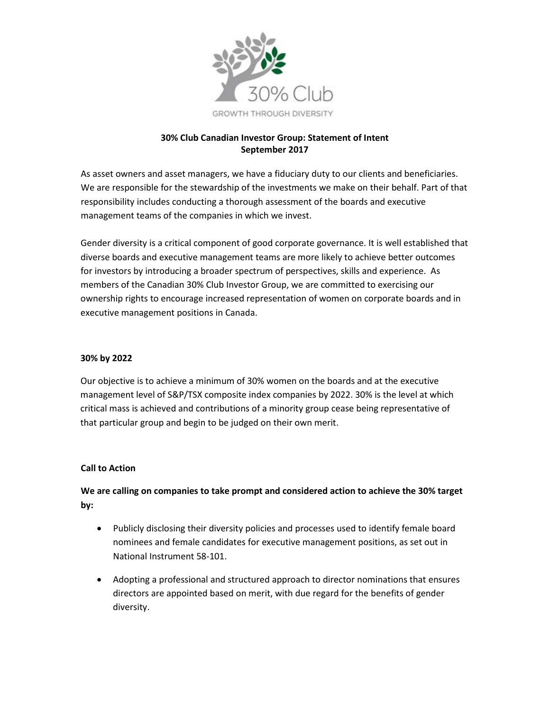

## **30% Club Canadian Investor Group: Statement of Intent September 2017**

As asset owners and asset managers, we have a fiduciary duty to our clients and beneficiaries. We are responsible for the stewardship of the investments we make on their behalf. Part of that responsibility includes conducting a thorough assessment of the boards and executive management teams of the companies in which we invest.

Gender diversity is a critical component of good corporate governance. It is well established that diverse boards and executive management teams are more likely to achieve better outcomes for investors by introducing a broader spectrum of perspectives, skills and experience. As members of the Canadian 30% Club Investor Group, we are committed to exercising our ownership rights to encourage increased representation of women on corporate boards and in executive management positions in Canada.

### **30% by 2022**

Our objective is to achieve a minimum of 30% women on the boards and at the executive management level of S&P/TSX composite index companies by 2022. 30% is the level at which critical mass is achieved and contributions of a minority group cease being representative of that particular group and begin to be judged on their own merit.

#### **Call to Action**

# **We are calling on companies to take prompt and considered action to achieve the 30% target by:**

- Publicly disclosing their diversity policies and processes used to identify female board nominees and female candidates for executive management positions, as set out in National Instrument 58-101.
- Adopting a professional and structured approach to director nominations that ensures directors are appointed based on merit, with due regard for the benefits of gender diversity.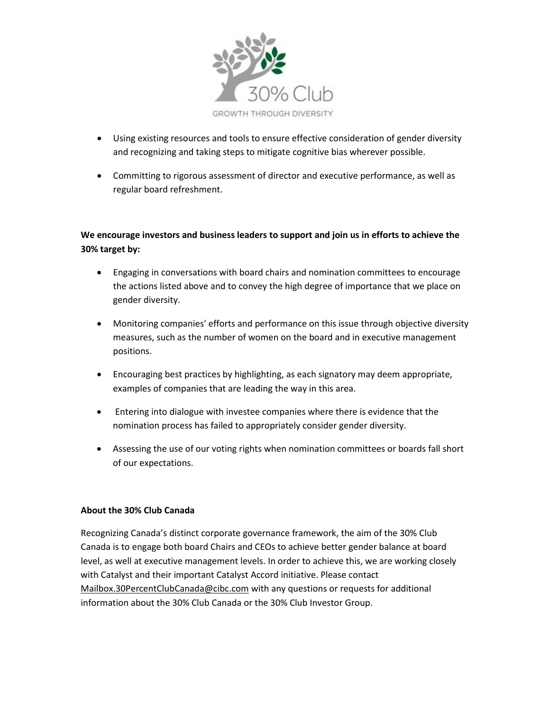

- Using existing resources and tools to ensure effective consideration of gender diversity and recognizing and taking steps to mitigate cognitive bias wherever possible.
- Committing to rigorous assessment of director and executive performance, as well as regular board refreshment.

# **We encourage investors and business leaders to support and join us in efforts to achieve the 30% target by:**

- Engaging in conversations with board chairs and nomination committees to encourage the actions listed above and to convey the high degree of importance that we place on gender diversity.
- Monitoring companies' efforts and performance on this issue through objective diversity measures, such as the number of women on the board and in executive management positions.
- Encouraging best practices by highlighting, as each signatory may deem appropriate, examples of companies that are leading the way in this area.
- Entering into dialogue with investee companies where there is evidence that the nomination process has failed to appropriately consider gender diversity.
- Assessing the use of our voting rights when nomination committees or boards fall short of our expectations.

### **About the 30% Club Canada**

Recognizing Canada's distinct corporate governance framework, the aim of the 30% Club Canada is to engage both board Chairs and CEOs to achieve better gender balance at board level, as well at executive management levels. In order to achieve this, we are working closely with Catalyst and their important Catalyst Accord initiative. Please contact [Mailbox.30PercentClubCanada@cibc.com](mailto:Mailbox.30PercentClubCanada@cibc.com) with any questions or requests for additional information about the 30% Club Canada or the 30% Club Investor Group.